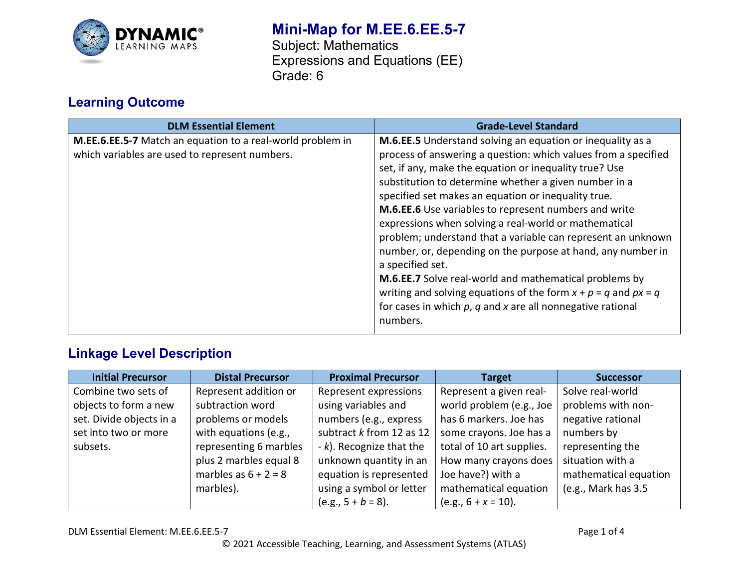

# **Mini-Map for M.EE.6.EE.5-7**

Subject: Mathematics Expressions and Equations (EE) Grade: 6

## **Learning Outcome**

| <b>DLM Essential Element</b>                                                                                 | <b>Grade-Level Standard</b>                                                                                                                                                                                                                                                                                                                                                                                                                                                                                                                                                                                                                                                                                                                                                                  |
|--------------------------------------------------------------------------------------------------------------|----------------------------------------------------------------------------------------------------------------------------------------------------------------------------------------------------------------------------------------------------------------------------------------------------------------------------------------------------------------------------------------------------------------------------------------------------------------------------------------------------------------------------------------------------------------------------------------------------------------------------------------------------------------------------------------------------------------------------------------------------------------------------------------------|
| M.EE.6.EE.5-7 Match an equation to a real-world problem in<br>which variables are used to represent numbers. | M.6.EE.5 Understand solving an equation or inequality as a<br>process of answering a question: which values from a specified<br>set, if any, make the equation or inequality true? Use<br>substitution to determine whether a given number in a<br>specified set makes an equation or inequality true.<br>M.6.EE.6 Use variables to represent numbers and write<br>expressions when solving a real-world or mathematical<br>problem; understand that a variable can represent an unknown<br>number, or, depending on the purpose at hand, any number in<br>a specified set.<br>M.6.EE.7 Solve real-world and mathematical problems by<br>writing and solving equations of the form $x + p = q$ and $px = q$<br>for cases in which $p$ , $q$ and $x$ are all nonnegative rational<br>numbers. |

### **Linkage Level Description**

| <b>Initial Precursor</b> | <b>Distal Precursor</b> | <b>Proximal Precursor</b>  | <b>Target</b>             | <b>Successor</b>      |
|--------------------------|-------------------------|----------------------------|---------------------------|-----------------------|
| Combine two sets of      | Represent addition or   | Represent expressions      | Represent a given real-   | Solve real-world      |
| objects to form a new    | subtraction word        | using variables and        | world problem (e.g., Joe  | problems with non-    |
| set. Divide objects in a | problems or models      | numbers (e.g., express     | has 6 markers. Joe has    | negative rational     |
| set into two or more     | with equations (e.g.,   | subtract $k$ from 12 as 12 | some crayons. Joe has a   | numbers by            |
| subsets.                 | representing 6 marbles  | $-k$ ). Recognize that the | total of 10 art supplies. | representing the      |
|                          | plus 2 marbles equal 8  | unknown quantity in an     | How many crayons does     | situation with a      |
|                          | marbles as $6 + 2 = 8$  | equation is represented    | Joe have?) with a         | mathematical equation |
|                          | marbles).               | using a symbol or letter   | mathematical equation     | (e.g., Mark has 3.5   |
|                          |                         | $(e.g., 5 + b = 8).$       | $(e.g., 6 + x = 10).$     |                       |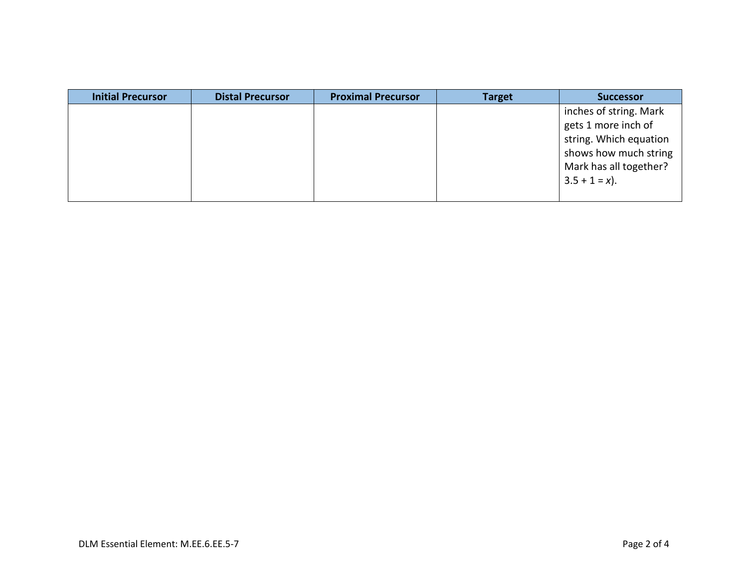| <b>Initial Precursor</b> | <b>Distal Precursor</b> | <b>Proximal Precursor</b> | <b>Target</b> | <b>Successor</b>                                                                                                                               |
|--------------------------|-------------------------|---------------------------|---------------|------------------------------------------------------------------------------------------------------------------------------------------------|
|                          |                         |                           |               | inches of string. Mark<br>gets 1 more inch of<br>string. Which equation<br>shows how much string<br>Mark has all together?<br>$3.5 + 1 = x$ ). |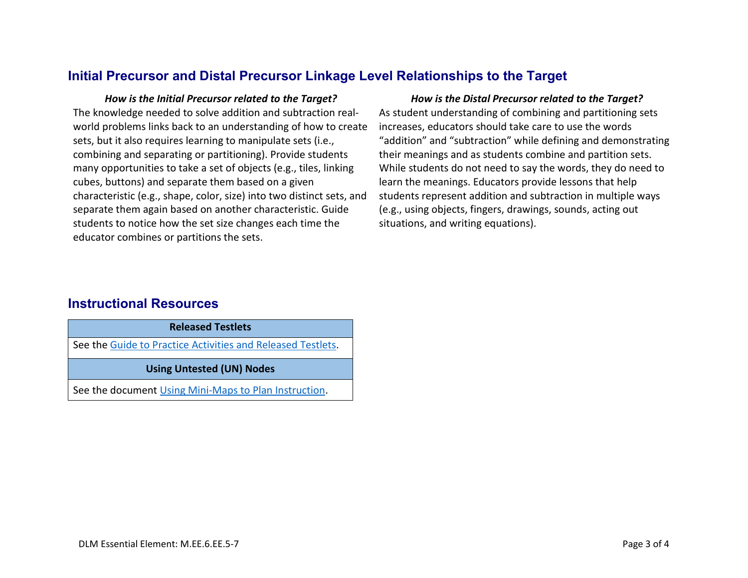#### **Initial Precursor and Distal Precursor Linkage Level Relationships to the Target**

*How is the Initial Precursor related to the Target? How is the Distal Precursor related to the Target?* The knowledge needed to solve addition and subtraction realworld problems links back to an understanding of how to create sets, but it also requires learning to manipulate sets (i.e., combining and separating or partitioning). Provide students many opportunities to take a set of objects (e.g., tiles, linking cubes, buttons) and separate them based on a given characteristic (e.g., shape, color, size) into two distinct sets, and separate them again based on another characteristic. Guide students to notice how the set size changes each time the educator combines or partitions the sets.

As student understanding of combining and partitioning sets increases, educators should take care to use the words "addition" and "subtraction" while defining and demonstrating their meanings and as students combine and partition sets. While students do not need to say the words, they do need to learn the meanings. Educators provide lessons that help students represent addition and subtraction in multiple ways (e.g., using objects, fingers, drawings, sounds, acting out situations, and writing equations).

#### **Instructional Resources**